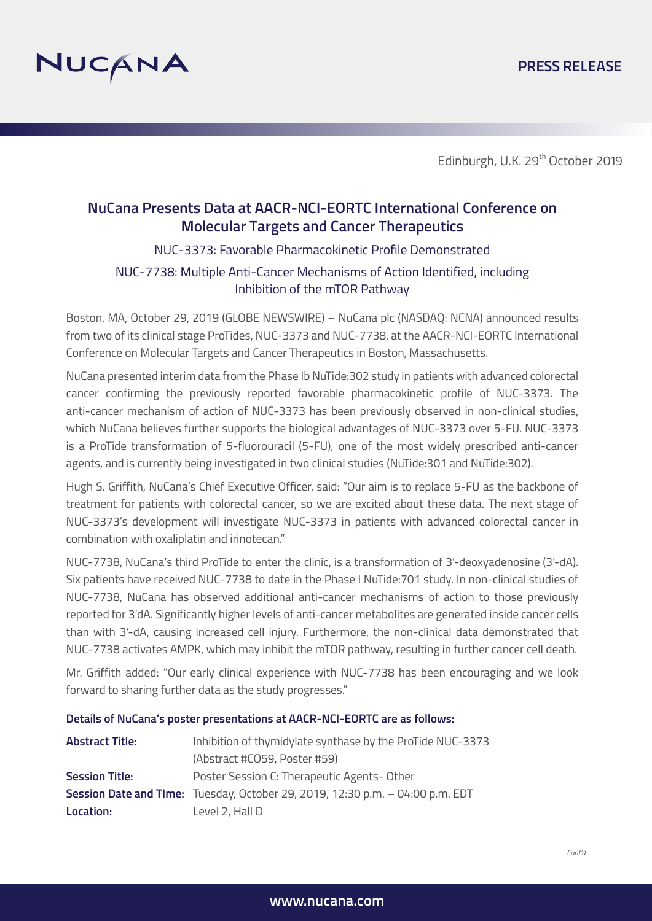

Edinburgh, U.K. 29<sup>th</sup> October 2019

## **NuCana Presents Data at AACR-NCI-EORTC International Conference on Molecular Targets and Cancer Therapeutics**

## NUC-3373: Favorable Pharmacokinetic Profile Demonstrated

## NUC-7738: Multiple Anti-Cancer Mechanisms of Action Identified, including Inhibition of the mTOR Pathway

Boston, MA, October 29, 2019 (GLOBE NEWSWIRE) – NuCana plc (NASDAQ: NCNA) announced results from two of its clinical stage ProTides, NUC-3373 and NUC-7738, at the AACR-NCI-EORTC International Conference on Molecular Targets and Cancer Therapeutics in Boston, Massachusetts.

NuCana presented interim data from the Phase Ib NuTide:302 study in patients with advanced colorectal cancer confirming the previously reported favorable pharmacokinetic profile of NUC-3373. The anti-cancer mechanism of action of NUC-3373 has been previously observed in non-clinical studies, which NuCana believes further supports the biological advantages of NUC-3373 over 5-FU. NUC-3373 is a ProTide transformation of 5-fluorouracil (5-FU), one of the most widely prescribed anti-cancer agents, and is currently being investigated in two clinical studies (NuTide:301 and NuTide:302).

Hugh S. Griffith, NuCana's Chief Executive Officer, said: "Our aim is to replace 5-FU as the backbone of treatment for patients with colorectal cancer, so we are excited about these data. The next stage of NUC-3373's development will investigate NUC-3373 in patients with advanced colorectal cancer in combination with oxaliplatin and irinotecan."

NUC-7738, NuCana's third ProTide to enter the clinic, is a transformation of 3'-deoxyadenosine (3'-dA). Six patients have received NUC-7738 to date in the Phase I NuTide:701 study. In non-clinical studies of NUC-7738, NuCana has observed additional anti-cancer mechanisms of action to those previously reported for 3'dA. Significantly higher levels of anti-cancer metabolites are generated inside cancer cells than with 3'-dA, causing increased cell injury. Furthermore, the non-clinical data demonstrated that NUC-7738 activates AMPK, which may inhibit the mTOR pathway, resulting in further cancer cell death.

Mr. Griffith added: "Our early clinical experience with NUC-7738 has been encouraging and we look forward to sharing further data as the study progresses."

**Details of NuCana's poster presentations at AACR-NCI-EORTC are as follows:**

| <b>Abstract Title:</b> | Inhibition of thymidylate synthase by the ProTide NUC-3373                    |
|------------------------|-------------------------------------------------------------------------------|
|                        | (Abstract #CO59, Poster #59)                                                  |
| <b>Session Title:</b>  | Poster Session C: Therapeutic Agents-Other                                    |
|                        | Session Date and Time: Tuesday, October 29, 2019, 12:30 p.m. - 04:00 p.m. EDT |
| Location:              | Level 2, Hall D                                                               |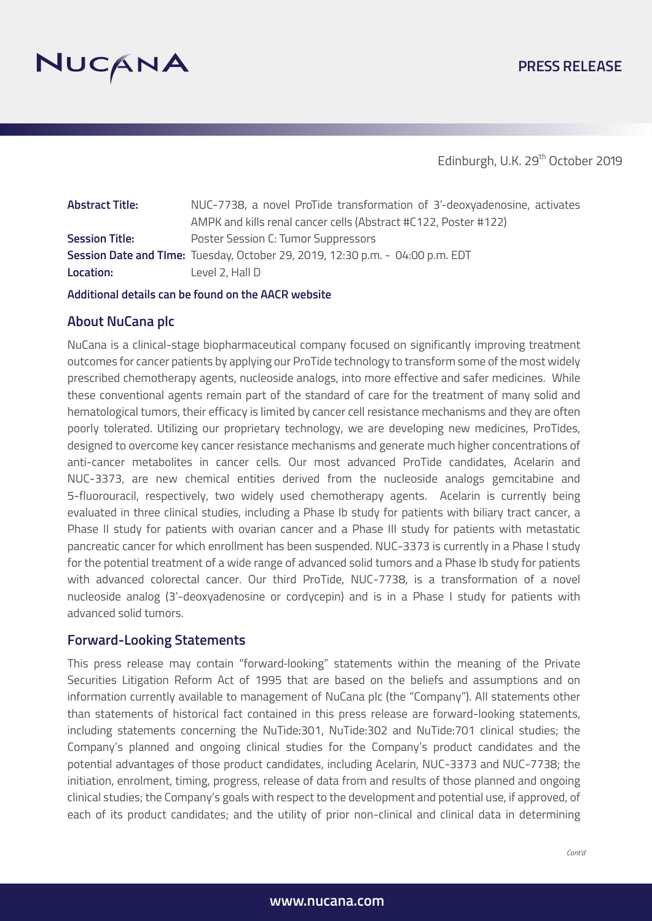

## **PRESS RELEASE**

Edinburgh, U.K. 29<sup>th</sup> October 2019

| <b>Abstract Title:</b> | NUC-7738, a novel ProTide transformation of 3'-deoxyadenosine, activates      |
|------------------------|-------------------------------------------------------------------------------|
|                        | AMPK and kills renal cancer cells (Abstract #C122, Poster #122)               |
| <b>Session Title:</b>  | Poster Session C: Tumor Suppressors                                           |
|                        | Session Date and Time: Tuesday, October 29, 2019, 12:30 p.m. - 04:00 p.m. EDT |
| Location:              | Level 2, Hall D                                                               |

**Additional details can be found on the AACR website**

#### **About NuCana plc**

NuCana is a clinical-stage biopharmaceutical company focused on significantly improving treatment outcomes for cancer patients by applying our ProTide technology to transform some of the most widely prescribed chemotherapy agents, nucleoside analogs, into more effective and safer medicines. While these conventional agents remain part of the standard of care for the treatment of many solid and hematological tumors, their efficacy is limited by cancer cell resistance mechanisms and they are often poorly tolerated. Utilizing our proprietary technology, we are developing new medicines, ProTides, designed to overcome key cancer resistance mechanisms and generate much higher concentrations of anti-cancer metabolites in cancer cells. Our most advanced ProTide candidates, Acelarin and NUC-3373, are new chemical entities derived from the nucleoside analogs gemcitabine and 5-fluorouracil, respectively, two widely used chemotherapy agents. Acelarin is currently being evaluated in three clinical studies, including a Phase Ib study for patients with biliary tract cancer, a Phase II study for patients with ovarian cancer and a Phase III study for patients with metastatic pancreatic cancer for which enrollment has been suspended. NUC-3373 is currently in a Phase I study for the potential treatment of a wide range of advanced solid tumors and a Phase Ib study for patients with advanced colorectal cancer. Our third ProTide, NUC-7738, is a transformation of a novel nucleoside analog (3'-deoxyadenosine or cordycepin) and is in a Phase I study for patients with advanced solid tumors.

#### **Forward-Looking Statements**

This press release may contain "forward-looking" statements within the meaning of the Private Securities Litigation Reform Act of 1995 that are based on the beliefs and assumptions and on information currently available to management of NuCana plc (the "Company"). All statements other than statements of historical fact contained in this press release are forward-looking statements, including statements concerning the NuTide:301, NuTide:302 and NuTide:701 clinical studies; the Company's planned and ongoing clinical studies for the Company's product candidates and the potential advantages of those product candidates, including Acelarin, NUC-3373 and NUC-7738; the initiation, enrolment, timing, progress, release of data from and results of those planned and ongoing clinical studies; the Company's goals with respect to the development and potential use, if approved, of each of its product candidates; and the utility of prior non-clinical and clinical data in determining